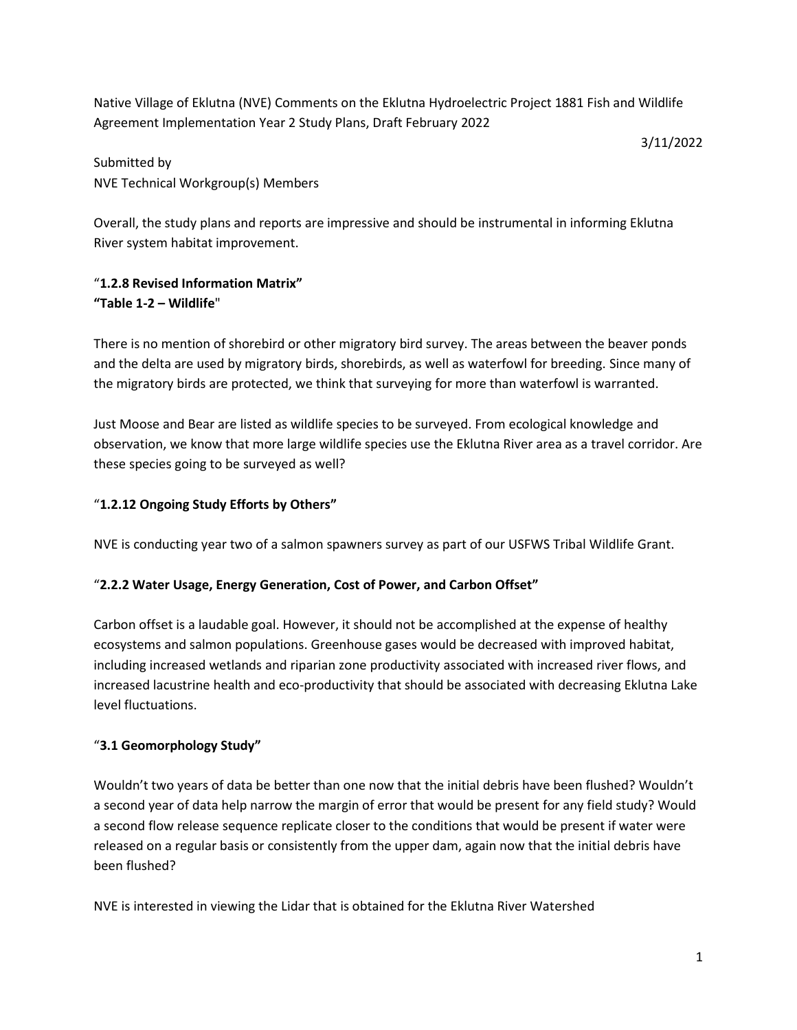Native Village of Eklutna (NVE) Comments on the Eklutna Hydroelectric Project 1881 Fish and Wildlife Agreement Implementation Year 2 Study Plans, Draft February 2022

3/11/2022

Submitted by NVE Technical Workgroup(s) Members

Overall, the study plans and reports are impressive and should be instrumental in informing Eklutna River system habitat improvement.

# "**1.2.8 Revised Information Matrix" "Table 1-2 – Wildlife**"

There is no mention of shorebird or other migratory bird survey. The areas between the beaver ponds and the delta are used by migratory birds, shorebirds, as well as waterfowl for breeding. Since many of the migratory birds are protected, we think that surveying for more than waterfowl is warranted.

Just Moose and Bear are listed as wildlife species to be surveyed. From ecological knowledge and observation, we know that more large wildlife species use the Eklutna River area as a travel corridor. Are these species going to be surveyed as well?

## "**1.2.12 Ongoing Study Efforts by Others"**

NVE is conducting year two of a salmon spawners survey as part of our USFWS Tribal Wildlife Grant.

## "**2.2.2 Water Usage, Energy Generation, Cost of Power, and Carbon Offset"**

Carbon offset is a laudable goal. However, it should not be accomplished at the expense of healthy ecosystems and salmon populations. Greenhouse gases would be decreased with improved habitat, including increased wetlands and riparian zone productivity associated with increased river flows, and increased lacustrine health and eco-productivity that should be associated with decreasing Eklutna Lake level fluctuations.

## "**3.1 Geomorphology Study"**

Wouldn't two years of data be better than one now that the initial debris have been flushed? Wouldn't a second year of data help narrow the margin of error that would be present for any field study? Would a second flow release sequence replicate closer to the conditions that would be present if water were released on a regular basis or consistently from the upper dam, again now that the initial debris have been flushed?

NVE is interested in viewing the Lidar that is obtained for the Eklutna River Watershed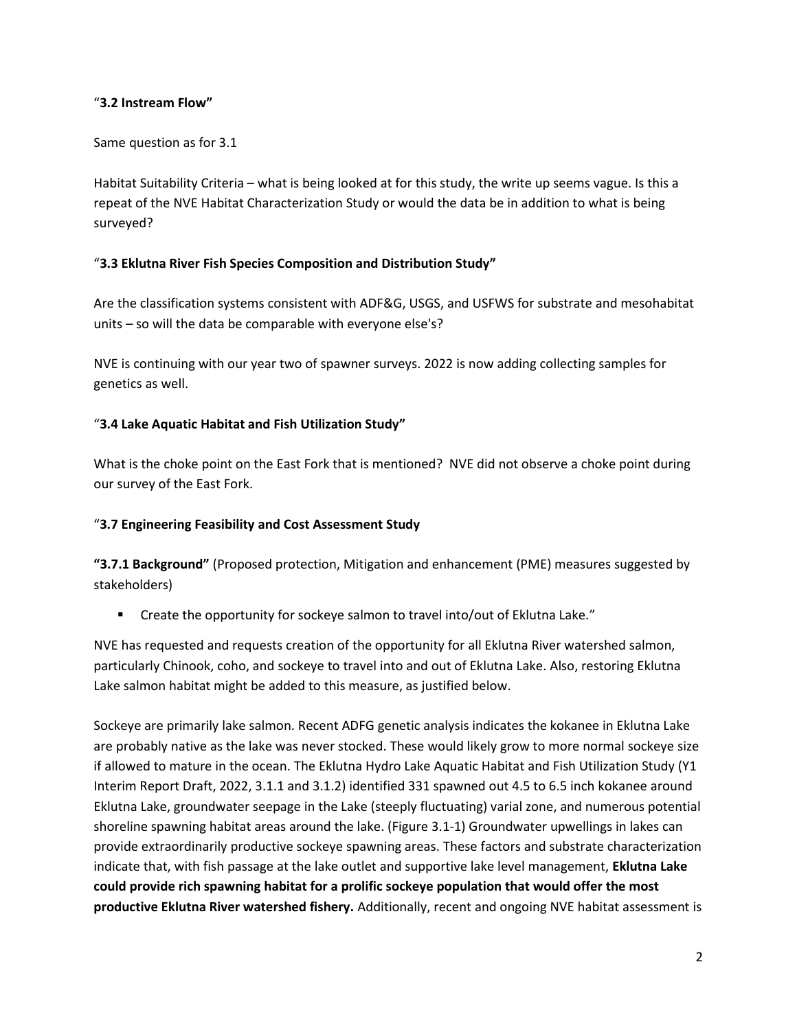## "**3.2 Instream Flow"**

## Same question as for 3.1

Habitat Suitability Criteria – what is being looked at for this study, the write up seems vague. Is this a repeat of the NVE Habitat Characterization Study or would the data be in addition to what is being surveyed?

## "**3.3 Eklutna River Fish Species Composition and Distribution Study"**

Are the classification systems consistent with ADF&G, USGS, and USFWS for substrate and mesohabitat units – so will the data be comparable with everyone else's?

NVE is continuing with our year two of spawner surveys. 2022 is now adding collecting samples for genetics as well.

## "**3.4 Lake Aquatic Habitat and Fish Utilization Study"**

What is the choke point on the East Fork that is mentioned? NVE did not observe a choke point during our survey of the East Fork.

## "**3.7 Engineering Feasibility and Cost Assessment Study**

**"3.7.1 Background"** (Proposed protection, Mitigation and enhancement (PME) measures suggested by stakeholders)

Create the opportunity for sockeye salmon to travel into/out of Eklutna Lake."

NVE has requested and requests creation of the opportunity for all Eklutna River watershed salmon, particularly Chinook, coho, and sockeye to travel into and out of Eklutna Lake. Also, restoring Eklutna Lake salmon habitat might be added to this measure, as justified below.

Sockeye are primarily lake salmon. Recent ADFG genetic analysis indicates the kokanee in Eklutna Lake are probably native as the lake was never stocked. These would likely grow to more normal sockeye size if allowed to mature in the ocean. The Eklutna Hydro Lake Aquatic Habitat and Fish Utilization Study (Y1 Interim Report Draft, 2022, 3.1.1 and 3.1.2) identified 331 spawned out 4.5 to 6.5 inch kokanee around Eklutna Lake, groundwater seepage in the Lake (steeply fluctuating) varial zone, and numerous potential shoreline spawning habitat areas around the lake. (Figure 3.1-1) Groundwater upwellings in lakes can provide extraordinarily productive sockeye spawning areas. These factors and substrate characterization indicate that, with fish passage at the lake outlet and supportive lake level management, **Eklutna Lake could provide rich spawning habitat for a prolific sockeye population that would offer the most productive Eklutna River watershed fishery.** Additionally, recent and ongoing NVE habitat assessment is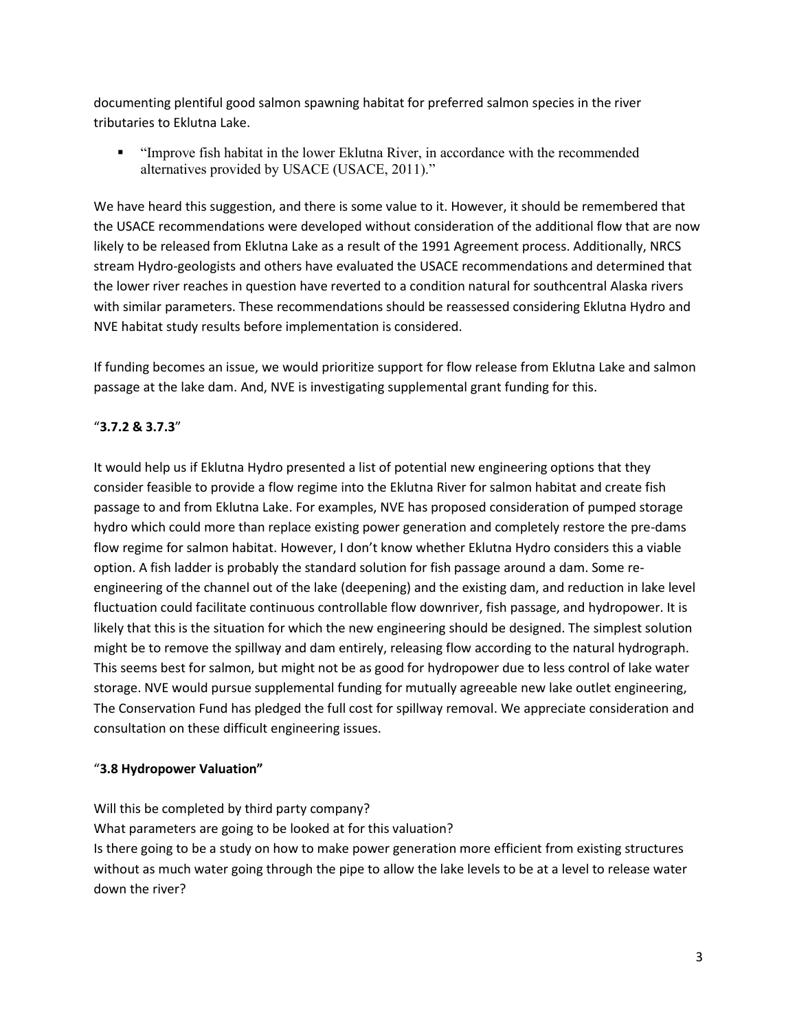documenting plentiful good salmon spawning habitat for preferred salmon species in the river tributaries to Eklutna Lake.

▪ "Improve fish habitat in the lower Eklutna River, in accordance with the recommended alternatives provided by USACE (USACE, 2011)."

We have heard this suggestion, and there is some value to it. However, it should be remembered that the USACE recommendations were developed without consideration of the additional flow that are now likely to be released from Eklutna Lake as a result of the 1991 Agreement process. Additionally, NRCS stream Hydro-geologists and others have evaluated the USACE recommendations and determined that the lower river reaches in question have reverted to a condition natural for southcentral Alaska rivers with similar parameters. These recommendations should be reassessed considering Eklutna Hydro and NVE habitat study results before implementation is considered.

If funding becomes an issue, we would prioritize support for flow release from Eklutna Lake and salmon passage at the lake dam. And, NVE is investigating supplemental grant funding for this.

## "**3.7.2 & 3.7.3**"

It would help us if Eklutna Hydro presented a list of potential new engineering options that they consider feasible to provide a flow regime into the Eklutna River for salmon habitat and create fish passage to and from Eklutna Lake. For examples, NVE has proposed consideration of pumped storage hydro which could more than replace existing power generation and completely restore the pre-dams flow regime for salmon habitat. However, I don't know whether Eklutna Hydro considers this a viable option. A fish ladder is probably the standard solution for fish passage around a dam. Some reengineering of the channel out of the lake (deepening) and the existing dam, and reduction in lake level fluctuation could facilitate continuous controllable flow downriver, fish passage, and hydropower. It is likely that this is the situation for which the new engineering should be designed. The simplest solution might be to remove the spillway and dam entirely, releasing flow according to the natural hydrograph. This seems best for salmon, but might not be as good for hydropower due to less control of lake water storage. NVE would pursue supplemental funding for mutually agreeable new lake outlet engineering, The Conservation Fund has pledged the full cost for spillway removal. We appreciate consideration and consultation on these difficult engineering issues.

## "**3.8 Hydropower Valuation"**

Will this be completed by third party company? What parameters are going to be looked at for this valuation? Is there going to be a study on how to make power generation more efficient from existing structures without as much water going through the pipe to allow the lake levels to be at a level to release water down the river?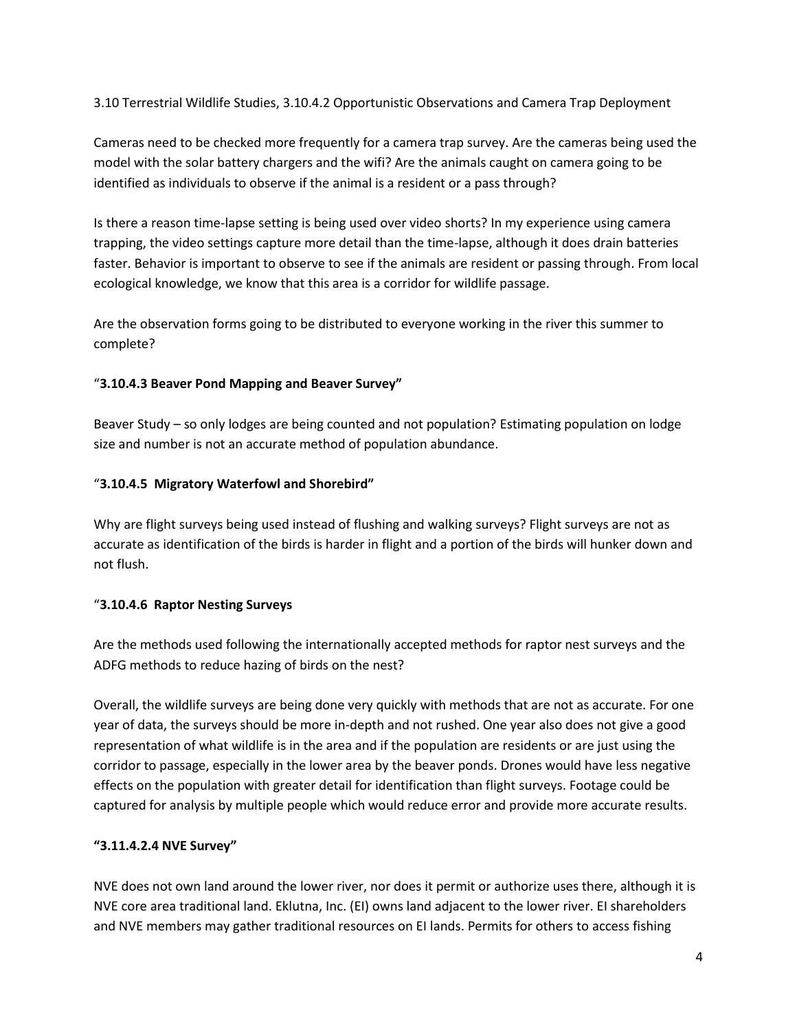3.10 Terrestrial Wildlife Studies, 3.10.4.2 Opportunistic Observations and Camera Trap Deployment

Cameras need to be checked more frequently for a camera trap survey. Are the cameras being used the model with the solar battery chargers and the wifi? Are the animals caught on camera going to be identified as individuals to observe if the animal is a resident or a pass through?

Is there a reason time-lapse setting is being used over video shorts? In my experience using camera trapping, the video settings capture more detail than the time-lapse, although it does drain batteries faster. Behavior is important to observe to see if the animals are resident or passing through. From local ecological knowledge, we know that this area is a corridor for wildlife passage.

Are the observation forms going to be distributed to everyone working in the river this summer to complete?

## "**3.10.4.3 Beaver Pond Mapping and Beaver Survey"**

Beaver Study – so only lodges are being counted and not population? Estimating population on lodge size and number is not an accurate method of population abundance.

## "**3.10.4.5 Migratory Waterfowl and Shorebird"**

Why are flight surveys being used instead of flushing and walking surveys? Flight surveys are not as accurate as identification of the birds is harder in flight and a portion of the birds will hunker down and not flush.

#### "**3.10.4.6 Raptor Nesting Surveys**

Are the methods used following the internationally accepted methods for raptor nest surveys and the ADFG methods to reduce hazing of birds on the nest?

Overall, the wildlife surveys are being done very quickly with methods that are not as accurate. For one year of data, the surveys should be more in-depth and not rushed. One year also does not give a good representation of what wildlife is in the area and if the population are residents or are just using the corridor to passage, especially in the lower area by the beaver ponds. Drones would have less negative effects on the population with greater detail for identification than flight surveys. Footage could be captured for analysis by multiple people which would reduce error and provide more accurate results.

## **"3.11.4.2.4 NVE Survey"**

NVE does not own land around the lower river, nor does it permit or authorize uses there, although it is NVE core area traditional land. Eklutna, Inc. (EI) owns land adjacent to the lower river. EI shareholders and NVE members may gather traditional resources on EI lands. Permits for others to access fishing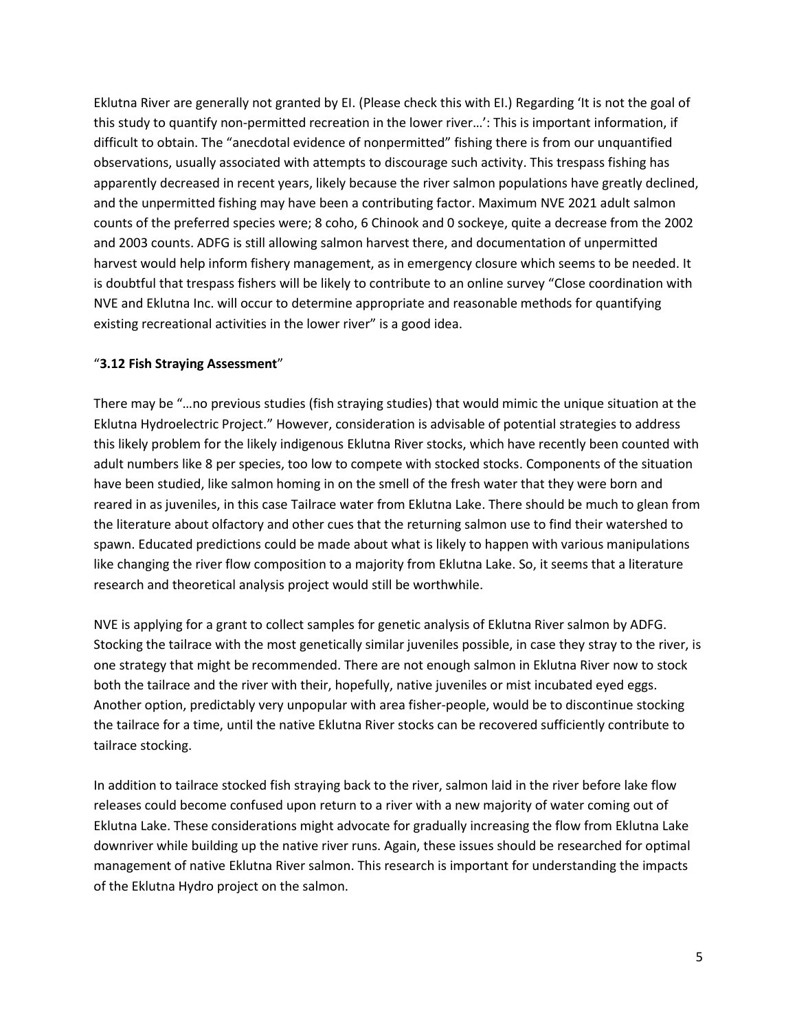Eklutna River are generally not granted by EI. (Please check this with EI.) Regarding 'It is not the goal of this study to quantify non-permitted recreation in the lower river…': This is important information, if difficult to obtain. The "anecdotal evidence of nonpermitted" fishing there is from our unquantified observations, usually associated with attempts to discourage such activity. This trespass fishing has apparently decreased in recent years, likely because the river salmon populations have greatly declined, and the unpermitted fishing may have been a contributing factor. Maximum NVE 2021 adult salmon counts of the preferred species were; 8 coho, 6 Chinook and 0 sockeye, quite a decrease from the 2002 and 2003 counts. ADFG is still allowing salmon harvest there, and documentation of unpermitted harvest would help inform fishery management, as in emergency closure which seems to be needed. It is doubtful that trespass fishers will be likely to contribute to an online survey "Close coordination with NVE and Eklutna Inc. will occur to determine appropriate and reasonable methods for quantifying existing recreational activities in the lower river" is a good idea.

#### "**3.12 Fish Straying Assessment**"

There may be "…no previous studies (fish straying studies) that would mimic the unique situation at the Eklutna Hydroelectric Project." However, consideration is advisable of potential strategies to address this likely problem for the likely indigenous Eklutna River stocks, which have recently been counted with adult numbers like 8 per species, too low to compete with stocked stocks. Components of the situation have been studied, like salmon homing in on the smell of the fresh water that they were born and reared in as juveniles, in this case Tailrace water from Eklutna Lake. There should be much to glean from the literature about olfactory and other cues that the returning salmon use to find their watershed to spawn. Educated predictions could be made about what is likely to happen with various manipulations like changing the river flow composition to a majority from Eklutna Lake. So, it seems that a literature research and theoretical analysis project would still be worthwhile.

NVE is applying for a grant to collect samples for genetic analysis of Eklutna River salmon by ADFG. Stocking the tailrace with the most genetically similar juveniles possible, in case they stray to the river, is one strategy that might be recommended. There are not enough salmon in Eklutna River now to stock both the tailrace and the river with their, hopefully, native juveniles or mist incubated eyed eggs. Another option, predictably very unpopular with area fisher-people, would be to discontinue stocking the tailrace for a time, until the native Eklutna River stocks can be recovered sufficiently contribute to tailrace stocking.

In addition to tailrace stocked fish straying back to the river, salmon laid in the river before lake flow releases could become confused upon return to a river with a new majority of water coming out of Eklutna Lake. These considerations might advocate for gradually increasing the flow from Eklutna Lake downriver while building up the native river runs. Again, these issues should be researched for optimal management of native Eklutna River salmon. This research is important for understanding the impacts of the Eklutna Hydro project on the salmon.